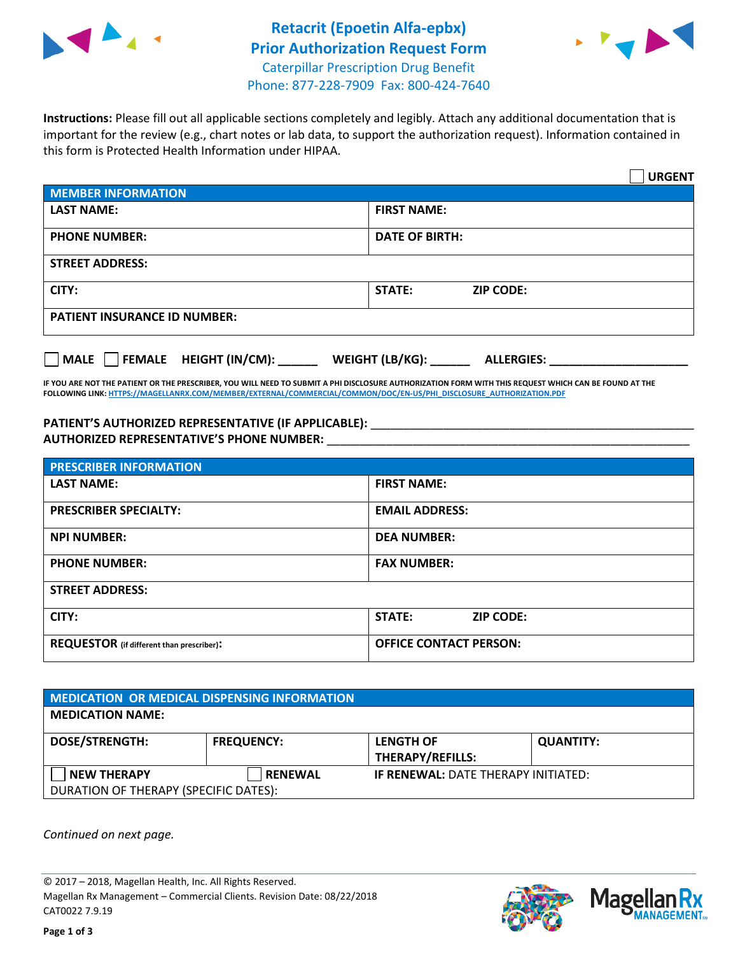



**Instructions:** Please fill out all applicable sections completely and legibly. Attach any additional documentation that is important for the review (e.g., chart notes or lab data, to support the authorization request). Information contained in this form is Protected Health Information under HIPAA.

|                                       | <b>URGENT</b>                        |
|---------------------------------------|--------------------------------------|
| <b>MEMBER INFORMATION</b>             |                                      |
| <b>LAST NAME:</b>                     | <b>FIRST NAME:</b>                   |
| <b>PHONE NUMBER:</b>                  | <b>DATE OF BIRTH:</b>                |
| <b>STREET ADDRESS:</b>                |                                      |
| CITY:                                 | STATE:<br><b>ZIP CODE:</b>           |
| <b>PATIENT INSURANCE ID NUMBER:</b>   |                                      |
| FEMALE HEIGHT (IN/CM):<br><b>MALE</b> | WEIGHT (LB/KG):<br><b>ALLERGIES:</b> |

**IF YOU ARE NOT THE PATIENT OR THE PRESCRIBER, YOU WILL NEED TO SUBMIT A PHI DISCLOSURE AUTHORIZATION FORM WITH THIS REQUEST WHICH CAN BE FOUND AT THE FOLLOWING LINK[: HTTPS://MAGELLANRX.COM/MEMBER/EXTERNAL/COMMERCIAL/COMMON/DOC/EN-US/PHI\\_DISCLOSURE\\_AUTHORIZATION.PDF](https://magellanrx.com/member/external/commercial/common/doc/en-us/PHI_Disclosure_Authorization.pdf)**

PATIENT'S AUTHORIZED REPRESENTATIVE (IF APPLICABLE): \_\_\_\_\_\_\_\_\_\_\_\_\_\_\_\_\_\_\_\_\_\_\_\_\_\_\_ **AUTHORIZED REPRESENTATIVE'S PHONE NUMBER:** \_\_\_\_\_\_\_\_\_\_\_\_\_\_\_\_\_\_\_\_\_\_\_\_\_\_\_\_\_\_\_\_\_\_\_\_\_\_\_\_\_\_\_\_\_\_\_\_\_\_\_\_\_\_\_

| <b>PRESCRIBER INFORMATION</b>             |                               |  |  |
|-------------------------------------------|-------------------------------|--|--|
| <b>LAST NAME:</b>                         | <b>FIRST NAME:</b>            |  |  |
| <b>PRESCRIBER SPECIALTY:</b>              | <b>EMAIL ADDRESS:</b>         |  |  |
| <b>NPI NUMBER:</b>                        | <b>DEA NUMBER:</b>            |  |  |
| <b>PHONE NUMBER:</b>                      | <b>FAX NUMBER:</b>            |  |  |
| <b>STREET ADDRESS:</b>                    |                               |  |  |
| CITY:                                     | STATE:<br><b>ZIP CODE:</b>    |  |  |
| REQUESTOR (if different than prescriber): | <b>OFFICE CONTACT PERSON:</b> |  |  |

| <b>MEDICATION OR MEDICAL DISPENSING INFORMATION</b> |                   |                                            |                  |  |
|-----------------------------------------------------|-------------------|--------------------------------------------|------------------|--|
| <b>MEDICATION NAME:</b>                             |                   |                                            |                  |  |
| <b>DOSE/STRENGTH:</b>                               | <b>FREQUENCY:</b> | <b>LENGTH OF</b>                           | <b>QUANTITY:</b> |  |
|                                                     |                   | <b>THERAPY/REFILLS:</b>                    |                  |  |
| <b>NEW THERAPY</b>                                  | <b>RENEWAL</b>    | <b>IF RENEWAL: DATE THERAPY INITIATED:</b> |                  |  |
| DURATION OF THERAPY (SPECIFIC DATES):               |                   |                                            |                  |  |

*Continued on next page.*

© 2017 – 2018, Magellan Health, Inc. All Rights Reserved. Magellan Rx Management – Commercial Clients. Revision Date: 08/22/2018 CAT0022 7.9.19



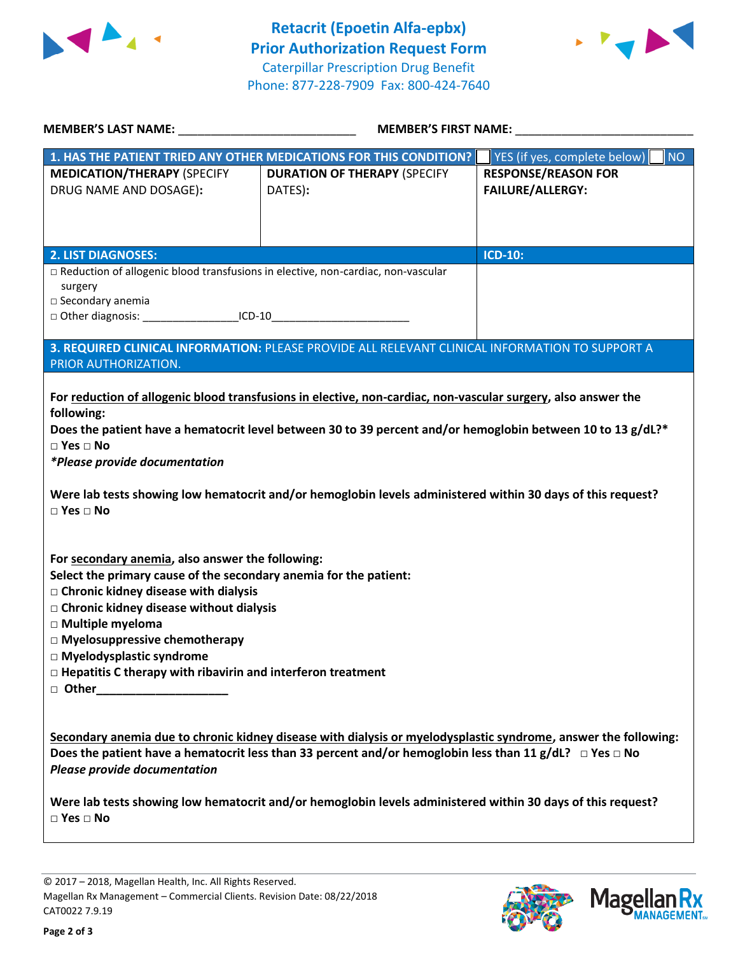



| <b>MEMBER'S LAST NAME:</b> NAME                                                                                                                                                                                                                                                                                                                                                | <b>MEMBER'S FIRST NAME:</b>                                                                                                                                                                                                                                                                                                                 |                                                       |  |
|--------------------------------------------------------------------------------------------------------------------------------------------------------------------------------------------------------------------------------------------------------------------------------------------------------------------------------------------------------------------------------|---------------------------------------------------------------------------------------------------------------------------------------------------------------------------------------------------------------------------------------------------------------------------------------------------------------------------------------------|-------------------------------------------------------|--|
|                                                                                                                                                                                                                                                                                                                                                                                | 1. HAS THE PATIENT TRIED ANY OTHER MEDICATIONS FOR THIS CONDITION?                                                                                                                                                                                                                                                                          | NO<br>YES (if yes, complete below)                    |  |
| <b>MEDICATION/THERAPY (SPECIFY</b><br>DRUG NAME AND DOSAGE):                                                                                                                                                                                                                                                                                                                   | <b>DURATION OF THERAPY (SPECIFY</b><br>DATES):                                                                                                                                                                                                                                                                                              | <b>RESPONSE/REASON FOR</b><br><b>FAILURE/ALLERGY:</b> |  |
|                                                                                                                                                                                                                                                                                                                                                                                |                                                                                                                                                                                                                                                                                                                                             |                                                       |  |
| <b>2. LIST DIAGNOSES:</b>                                                                                                                                                                                                                                                                                                                                                      |                                                                                                                                                                                                                                                                                                                                             | <b>ICD-10:</b>                                        |  |
| □ Reduction of allogenic blood transfusions in elective, non-cardiac, non-vascular<br>surgery<br>□ Secondary anemia                                                                                                                                                                                                                                                            |                                                                                                                                                                                                                                                                                                                                             |                                                       |  |
|                                                                                                                                                                                                                                                                                                                                                                                | □ Other diagnosis: __________________________ICD-10____________________________                                                                                                                                                                                                                                                             |                                                       |  |
| PRIOR AUTHORIZATION.                                                                                                                                                                                                                                                                                                                                                           | 3. REQUIRED CLINICAL INFORMATION: PLEASE PROVIDE ALL RELEVANT CLINICAL INFORMATION TO SUPPORT A                                                                                                                                                                                                                                             |                                                       |  |
| following:<br>$\square$ Yes $\square$ No<br>*Please provide documentation<br>$\square$ Yes $\square$ No                                                                                                                                                                                                                                                                        | For reduction of allogenic blood transfusions in elective, non-cardiac, non-vascular surgery, also answer the<br>Does the patient have a hematocrit level between 30 to 39 percent and/or hemoglobin between 10 to 13 g/dL?*<br>Were lab tests showing low hematocrit and/or hemoglobin levels administered within 30 days of this request? |                                                       |  |
| For secondary anemia, also answer the following:<br>Select the primary cause of the secondary anemia for the patient:<br>$\Box$ Chronic kidney disease with dialysis<br>□ Chronic kidney disease without dialysis<br>□ Multiple myeloma<br>□ Myelosuppressive chemotherapy<br>□ Myelodysplastic syndrome<br>$\Box$ Hepatitis C therapy with ribavirin and interferon treatment |                                                                                                                                                                                                                                                                                                                                             |                                                       |  |
| <b>Please provide documentation</b>                                                                                                                                                                                                                                                                                                                                            | Secondary anemia due to chronic kidney disease with dialysis or myelodysplastic syndrome, answer the following:<br>Does the patient have a hematocrit less than 33 percent and/or hemoglobin less than 11 g/dL? $\Box$ Yes $\Box$ No                                                                                                        |                                                       |  |
| $\square$ Yes $\square$ No                                                                                                                                                                                                                                                                                                                                                     | Were lab tests showing low hematocrit and/or hemoglobin levels administered within 30 days of this request?                                                                                                                                                                                                                                 |                                                       |  |
|                                                                                                                                                                                                                                                                                                                                                                                |                                                                                                                                                                                                                                                                                                                                             |                                                       |  |

© 2017 – 2018, Magellan Health, Inc. All Rights Reserved. Magellan Rx Management – Commercial Clients. Revision Date: 08/22/2018 CAT0022 7.9.19